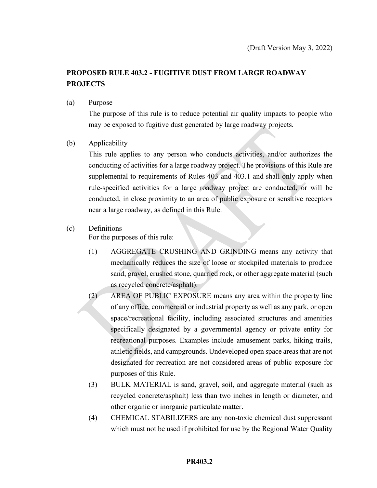# **PROPOSED RULE 403.2 - FUGITIVE DUST FROM LARGE ROADWAY PROJECTS**

### (a) Purpose

The purpose of this rule is to reduce potential air quality impacts to people who may be exposed to fugitive dust generated by large roadway projects.

### (b) Applicability

This rule applies to any person who conducts activities, and/or authorizes the conducting of activities for a large roadway project. The provisions of this Rule are supplemental to requirements of Rules 403 and 403.1 and shall only apply when rule-specified activities for a large roadway project are conducted, or will be conducted, in close proximity to an area of public exposure or sensitive receptors near a large roadway, as defined in this Rule.

### (c) Definitions

For the purposes of this rule:

- (1) AGGREGATE CRUSHING AND GRINDING means any activity that mechanically reduces the size of loose or stockpiled materials to produce sand, gravel, crushed stone, quarried rock, or other aggregate material (such as recycled concrete/asphalt).
- (2) AREA OF PUBLIC EXPOSURE means any area within the property line of any office, commercial or industrial property as well as any park, or open space/recreational facility, including associated structures and amenities specifically designated by a governmental agency or private entity for recreational purposes. Examples include amusement parks, hiking trails, athletic fields, and campgrounds. Undeveloped open space areas that are not designated for recreation are not considered areas of public exposure for purposes of this Rule.
- (3) BULK MATERIAL is sand, gravel, soil, and aggregate material (such as recycled concrete/asphalt) less than two inches in length or diameter, and other organic or inorganic particulate matter.
- (4) CHEMICAL STABILIZERS are any non-toxic chemical dust suppressant which must not be used if prohibited for use by the Regional Water Quality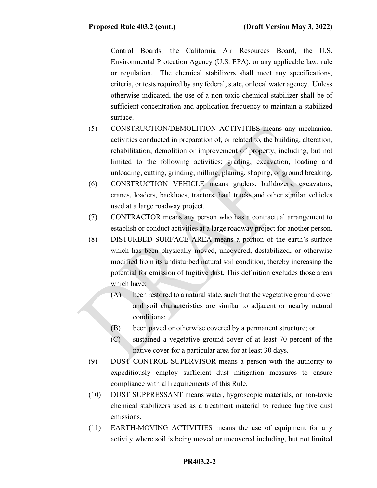Control Boards, the California Air Resources Board, the U.S. Environmental Protection Agency (U.S. EPA), or any applicable law, rule or regulation. The chemical stabilizers shall meet any specifications, criteria, or tests required by any federal, state, or local water agency. Unless otherwise indicated, the use of a non-toxic chemical stabilizer shall be of sufficient concentration and application frequency to maintain a stabilized surface.

- (5) CONSTRUCTION/DEMOLITION ACTIVITIES means any mechanical activities conducted in preparation of, or related to, the building, alteration, rehabilitation, demolition or improvement of property, including, but not limited to the following activities: grading, excavation, loading and unloading, cutting, grinding, milling, planing, shaping, or ground breaking.
- (6) CONSTRUCTION VEHICLE means graders, bulldozers, excavators, cranes, loaders, backhoes, tractors, haul trucks and other similar vehicles used at a large roadway project.
- (7) CONTRACTOR means any person who has a contractual arrangement to establish or conduct activities at a large roadway project for another person.
- (8) DISTURBED SURFACE AREA means a portion of the earth's surface which has been physically moved, uncovered, destabilized, or otherwise modified from its undisturbed natural soil condition, thereby increasing the potential for emission of fugitive dust. This definition excludes those areas which have:
	- (A) been restored to a natural state, such that the vegetative ground cover and soil characteristics are similar to adjacent or nearby natural conditions;
	- (B) been paved or otherwise covered by a permanent structure; or
	- (C) sustained a vegetative ground cover of at least 70 percent of the native cover for a particular area for at least 30 days.
- (9) DUST CONTROL SUPERVISOR means a person with the authority to expeditiously employ sufficient dust mitigation measures to ensure compliance with all requirements of this Rule.
- (10) DUST SUPPRESSANT means water, hygroscopic materials, or non-toxic chemical stabilizers used as a treatment material to reduce fugitive dust emissions.
- (11) EARTH-MOVING ACTIVITIES means the use of equipment for any activity where soil is being moved or uncovered including, but not limited

### **PR403.2-2**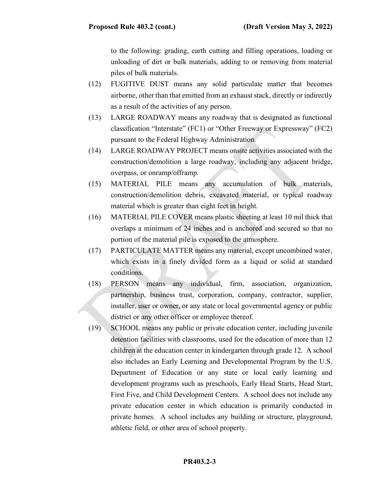to the following: grading, earth cutting and filling operations, loading or unloading of dirt or bulk materials, adding to or removing from material piles of bulk materials.

- (12) FUGITIVE DUST means any solid particulate matter that becomes airborne, other than that emitted from an exhaust stack, directly or indirectly as a result of the activities of any person.
- (13) LARGE ROADWAY means any roadway that is designated as functional classification "Interstate" (FC1) or "Other Freeway or Expressway" (FC2) pursuant to the Federal Highway Administration.
- (14) LARGE ROADWAY PROJECT means onsite activities associated with the construction/demolition a large roadway, including any adjacent bridge, overpass, or onramp/offramp.
- (15) MATERIAL PILE means any accumulation of bulk materials, construction/demolition debris, excavated material, or typical roadway material which is greater than eight feet in height.
- (16) MATERIAL PILE COVER means plastic sheeting at least 10 mil thick that overlaps a minimum of 24 inches and is anchored and secured so that no portion of the material pile is exposed to the atmosphere.
- (17) PARTICULATE MATTER means any material, except uncombined water, which exists in a finely divided form as a liquid or solid at standard conditions.
- (18) PERSON means any individual, firm, association, organization, partnership, business trust, corporation, company, contractor, supplier, installer, user or owner, or any state or local governmental agency or public district or any other officer or employee thereof.
- (19) SCHOOL means any public or private education center, including juvenile detention facilities with classrooms, used for the education of more than 12 children at the education center in kindergarten through grade 12. A school also includes an Early Learning and Developmental Program by the U.S. Department of Education or any state or local early learning and development programs such as preschools, Early Head Starts, Head Start, First Five, and Child Development Centers. A school does not include any private education center in which education is primarily conducted in private homes. A school includes any building or structure, playground, athletic field, or other area of school property.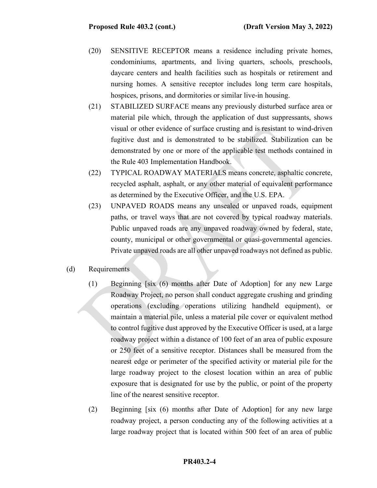- (20) SENSITIVE RECEPTOR means a residence including private homes, condominiums, apartments, and living quarters, schools, preschools, daycare centers and health facilities such as hospitals or retirement and nursing homes. A sensitive receptor includes long term care hospitals, hospices, prisons, and dormitories or similar live-in housing.
- (21) STABILIZED SURFACE means any previously disturbed surface area or material pile which, through the application of dust suppressants, shows visual or other evidence of surface crusting and is resistant to wind-driven fugitive dust and is demonstrated to be stabilized. Stabilization can be demonstrated by one or more of the applicable test methods contained in the Rule 403 Implementation Handbook.
- (22) TYPICAL ROADWAY MATERIALS means concrete, asphaltic concrete, recycled asphalt, asphalt, or any other material of equivalent performance as determined by the Executive Officer, and the U.S. EPA.
- (23) UNPAVED ROADS means any unsealed or unpaved roads, equipment paths, or travel ways that are not covered by typical roadway materials. Public unpaved roads are any unpaved roadway owned by federal, state, county, municipal or other governmental or quasi-governmental agencies. Private unpaved roads are all other unpaved roadways not defined as public.
- (d) Requirements
	- (1) Beginning [six (6) months after Date of Adoption] for any new Large Roadway Project, no person shall conduct aggregate crushing and grinding operations (excluding operations utilizing handheld equipment), or maintain a material pile, unless a material pile cover or equivalent method to control fugitive dust approved by the Executive Officer is used, at a large roadway project within a distance of 100 feet of an area of public exposure or 250 feet of a sensitive receptor. Distances shall be measured from the nearest edge or perimeter of the specified activity or material pile for the large roadway project to the closest location within an area of public exposure that is designated for use by the public, or point of the property line of the nearest sensitive receptor.
	- (2) Beginning [six (6) months after Date of Adoption] for any new large roadway project, a person conducting any of the following activities at a large roadway project that is located within 500 feet of an area of public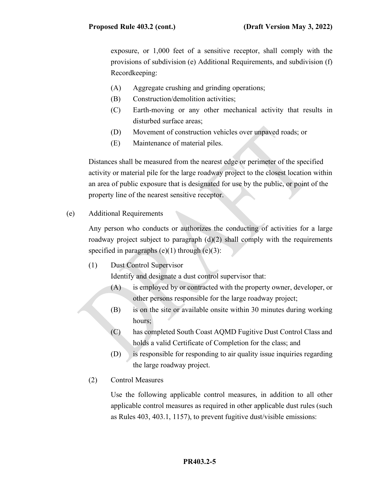exposure, or 1,000 feet of a sensitive receptor, shall comply with the provisions of subdivision (e) Additional Requirements, and subdivision (f) Recordkeeping:

- (A) Aggregate crushing and grinding operations;
- (B) Construction/demolition activities;
- (C) Earth-moving or any other mechanical activity that results in disturbed surface areas;
- (D) Movement of construction vehicles over unpaved roads; or
- (E) Maintenance of material piles.

Distances shall be measured from the nearest edge or perimeter of the specified activity or material pile for the large roadway project to the closest location within an area of public exposure that is designated for use by the public, or point of the property line of the nearest sensitive receptor.

(e) Additional Requirements

Any person who conducts or authorizes the conducting of activities for a large roadway project subject to paragraph (d)(2) shall comply with the requirements specified in paragraphs  $(e)(1)$  through  $(e)(3)$ :

(1) Dust Control Supervisor

Identify and designate a dust control supervisor that:

- (A) is employed by or contracted with the property owner, developer, or other persons responsible for the large roadway project;
- (B) is on the site or available onsite within 30 minutes during working hours;
- (C) has completed South Coast AQMD Fugitive Dust Control Class and holds a valid Certificate of Completion for the class; and
- (D) is responsible for responding to air quality issue inquiries regarding the large roadway project.
- (2) Control Measures

Use the following applicable control measures, in addition to all other applicable control measures as required in other applicable dust rules (such as Rules 403, 403.1, 1157), to prevent fugitive dust/visible emissions: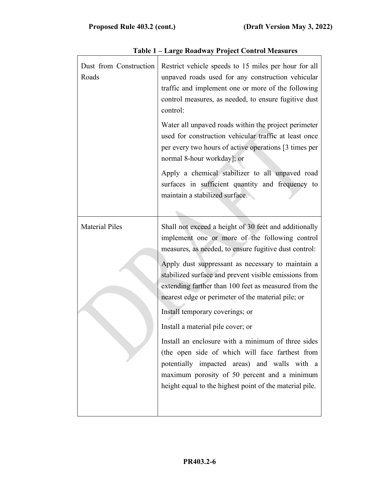| normal 8-hour workday]; or<br>maintain a stabilized surface.<br><b>Material Piles</b><br>nearest edge or perimeter of the material pile; or<br>Install temporary coverings; or<br>Install a material pile cover; or | Dust from Construction<br>Roads | Restrict vehicle speeds to 15 miles per hour for all<br>unpaved roads used for any construction vehicular<br>traffic and implement one or more of the following<br>control measures, as needed, to ensure fugitive dust<br>control:                                                                                                                                                                                                                                                                                                                                                                        |  |  |  |
|---------------------------------------------------------------------------------------------------------------------------------------------------------------------------------------------------------------------|---------------------------------|------------------------------------------------------------------------------------------------------------------------------------------------------------------------------------------------------------------------------------------------------------------------------------------------------------------------------------------------------------------------------------------------------------------------------------------------------------------------------------------------------------------------------------------------------------------------------------------------------------|--|--|--|
|                                                                                                                                                                                                                     |                                 | Water all unpaved roads within the project perimeter<br>used for construction vehicular traffic at least once<br>per every two hours of active operations [3 times per                                                                                                                                                                                                                                                                                                                                                                                                                                     |  |  |  |
|                                                                                                                                                                                                                     |                                 | Apply a chemical stabilizer to all unpaved road<br>surfaces in sufficient quantity and frequency to                                                                                                                                                                                                                                                                                                                                                                                                                                                                                                        |  |  |  |
|                                                                                                                                                                                                                     |                                 | Shall not exceed a height of 30 feet and additionally<br>implement one or more of the following control<br>measures, as needed, to ensure fugitive dust control:<br>Apply dust suppressant as necessary to maintain a<br>stabilized surface and prevent visible emissions from<br>extending farther than 100 feet as measured from the<br>Install an enclosure with a minimum of three sides<br>(the open side of which will face farthest from<br>potentially impacted areas) and walls with a<br>maximum porosity of 50 percent and a minimum<br>height equal to the highest point of the material pile. |  |  |  |

|  |  | Table 1 - Large Roadway Project Control Measures |
|--|--|--------------------------------------------------|
|  |  |                                                  |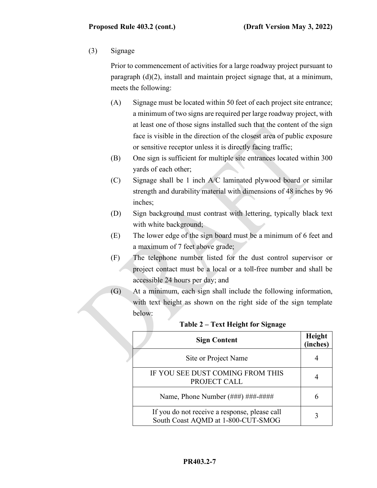## (3) Signage

Prior to commencement of activities for a large roadway project pursuant to paragraph (d)(2), install and maintain project signage that, at a minimum, meets the following:

- (A) Signage must be located within 50 feet of each project site entrance; a minimum of two signs are required per large roadway project, with at least one of those signs installed such that the content of the sign face is visible in the direction of the closest area of public exposure or sensitive receptor unless it is directly facing traffic;
- (B) One sign is sufficient for multiple site entrances located within 300 yards of each other;
- (C) Signage shall be 1 inch A/C laminated plywood board or similar strength and durability material with dimensions of 48 inches by 96 inches;
- (D) Sign background must contrast with lettering, typically black text with white background;
- (E) The lower edge of the sign board must be a minimum of 6 feet and a maximum of 7 feet above grade;
- (F) The telephone number listed for the dust control supervisor or project contact must be a local or a toll-free number and shall be accessible 24 hours per day; and
- (G) At a minimum, each sign shall include the following information, with text height as shown on the right side of the sign template below:

| <b>Sign Content</b>                                                                 | Height<br>(inches) |
|-------------------------------------------------------------------------------------|--------------------|
| Site or Project Name                                                                |                    |
| IF YOU SEE DUST COMING FROM THIS<br>PROJECT CALL                                    |                    |
| Name, Phone Number (###) ###-####                                                   |                    |
| If you do not receive a response, please call<br>South Coast AQMD at 1-800-CUT-SMOG |                    |

#### **Table 2 – Text Height for Signage**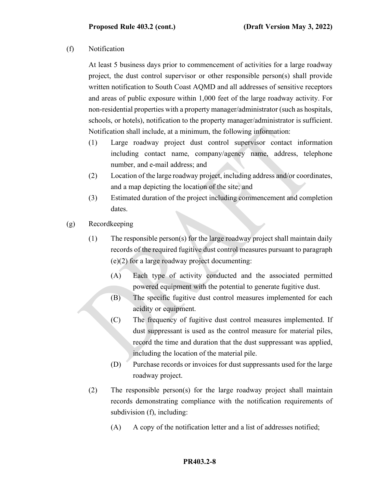(f) Notification

At least 5 business days prior to commencement of activities for a large roadway project, the dust control supervisor or other responsible person(s) shall provide written notification to South Coast AQMD and all addresses of sensitive receptors and areas of public exposure within 1,000 feet of the large roadway activity. For non-residential properties with a property manager/administrator (such as hospitals, schools, or hotels), notification to the property manager/administrator is sufficient. Notification shall include, at a minimum, the following information:

- (1) Large roadway project dust control supervisor contact information including contact name, company/agency name, address, telephone number, and e-mail address; and
- (2) Location of the large roadway project, including address and/or coordinates, and a map depicting the location of the site; and
- (3) Estimated duration of the project including commencement and completion dates.
- (g) Recordkeeping
	- (1) The responsible person(s) for the large roadway project shall maintain daily records of the required fugitive dust control measures pursuant to paragraph (e)(2) for a large roadway project documenting:
		- (A) Each type of activity conducted and the associated permitted powered equipment with the potential to generate fugitive dust.
		- (B) The specific fugitive dust control measures implemented for each acidity or equipment.
		- (C) The frequency of fugitive dust control measures implemented. If dust suppressant is used as the control measure for material piles, record the time and duration that the dust suppressant was applied, including the location of the material pile.
		- (D) Purchase records or invoices for dust suppressants used for the large roadway project.
	- (2) The responsible person(s) for the large roadway project shall maintain records demonstrating compliance with the notification requirements of subdivision (f), including:
		- (A) A copy of the notification letter and a list of addresses notified;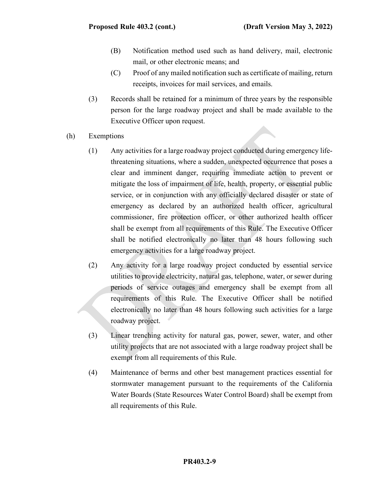- (B) Notification method used such as hand delivery, mail, electronic mail, or other electronic means; and
- (C) Proof of any mailed notification such as certificate of mailing, return receipts, invoices for mail services, and emails.
- (3) Records shall be retained for a minimum of three years by the responsible person for the large roadway project and shall be made available to the Executive Officer upon request.
- (h) Exemptions
	- (1) Any activities for a large roadway project conducted during emergency lifethreatening situations, where a sudden, unexpected occurrence that poses a clear and imminent danger, requiring immediate action to prevent or mitigate the loss of impairment of life, health, property, or essential public service, or in conjunction with any officially declared disaster or state of emergency as declared by an authorized health officer, agricultural commissioner, fire protection officer, or other authorized health officer shall be exempt from all requirements of this Rule. The Executive Officer shall be notified electronically no later than 48 hours following such emergency activities for a large roadway project.
	- (2) Any activity for a large roadway project conducted by essential service utilities to provide electricity, natural gas, telephone, water, or sewer during periods of service outages and emergency shall be exempt from all requirements of this Rule. The Executive Officer shall be notified electronically no later than 48 hours following such activities for a large roadway project.
	- (3) Linear trenching activity for natural gas, power, sewer, water, and other utility projects that are not associated with a large roadway project shall be exempt from all requirements of this Rule.
	- (4) Maintenance of berms and other best management practices essential for stormwater management pursuant to the requirements of the California Water Boards (State Resources Water Control Board) shall be exempt from all requirements of this Rule.